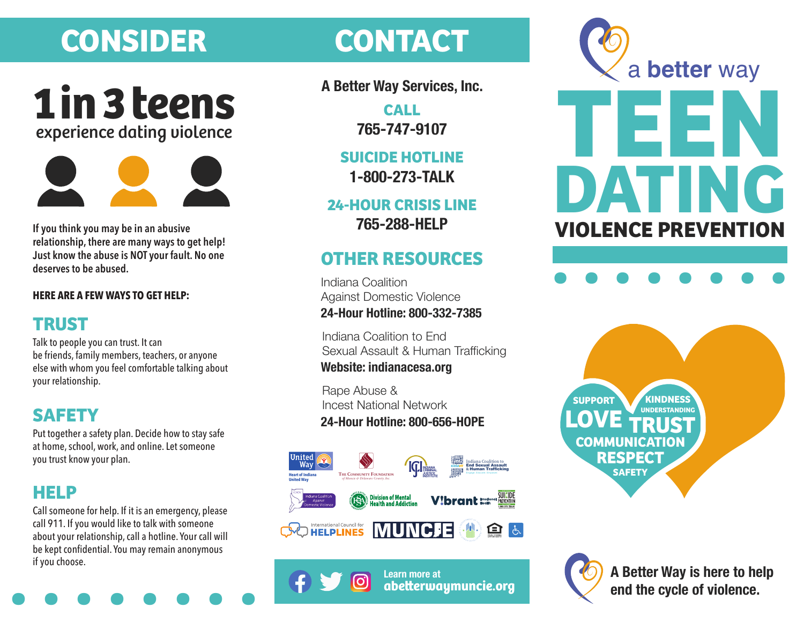# **CONSIDER CONTACT**





**If you think you may be in an abusive relationship, there are many ways to get help! Just know the abuse is NOT your fault. No one deserves to be abused.**

### **HERE ARE A FEW WAYS TO GET HELP:**

## **TRUST**

Talk to people you can trust. It can be friends, family members, teachers, or anyone else with whom you feel comfortable talking about your relationship.

## **SAFETY**

Put together a safety plan. Decide how to stay safe at home, school, work, and online. Let someone you trust know your plan.

## **HELP**

**be kept confidential. You may remain anonymous if you choose.** Call someone for help. If it is an emergency, please call 911. If you would like to talk with someone about your relationship, call a hotline. Your call will be kept confidential. You may remain anonymous if you choose.

**A Better Way Services, Inc.**

**CALL 765-747-9107**

**SUICIDE HOTLINE 1-800-273-TALK**

**24-HOUR CRISIS LINE 765-288-HELP**

## **OTHER RESOURCES**

Indiana Coalition Against Domestic Violence **24-Hour Hotline: 800-332-7385**

Indiana Coalition to End Sexual Assault & Human Trafficking **Website: indianacesa.org**

Rape Abuse & Incest National Network **24-Hour Hotline: 800-656-HOPE**



**Learn more at**

**abeerwaymuncie.org**









**A Better Way is here to help end the cycle of violence.**